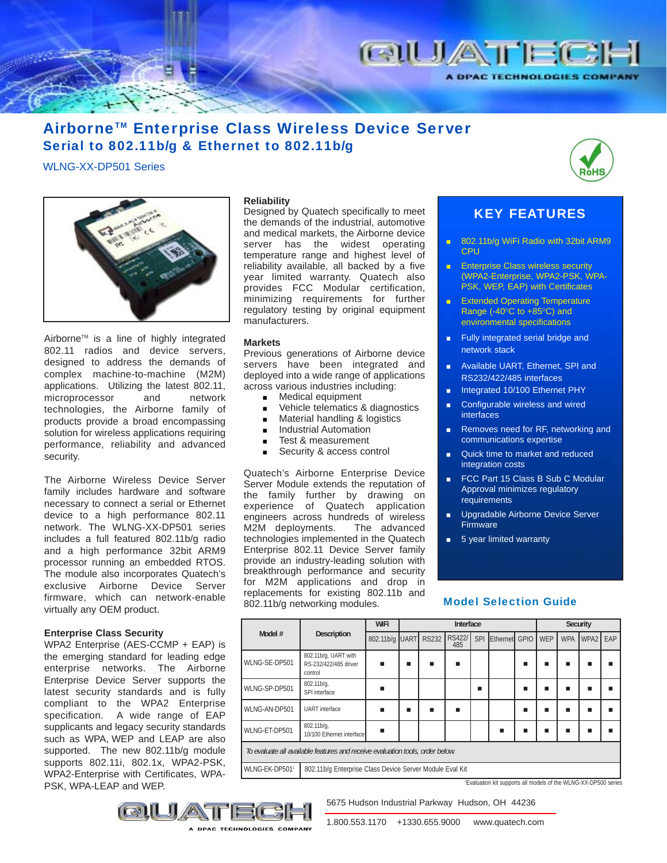

# Airborne™ Enterprise Class Wireless Device Server Serial to 802.11b/g & Ethernet to 802.11b/g

WLNG-XX-DP501 Series



Airborne<sup>™</sup> is a line of highly integrated 802.11 radios and device servers, designed to address the demands of complex machine-to-machine (M2M) applications. Utilizing the latest 802.11, microprocessor and network technologies, the Airborne family of products provide a broad encompassing solution for wireless applications requiring performance, reliability and advanced security.

The Airborne Wireless Device Server family includes hardware and software necessary to connect a serial or Ethernet device to a high performance 802.11 network. The WLNG-XX-DP501 series includes a full featured 802.11b/g radio and a high performance 32bit ARM9 processor running an embedded RTOS. The module also incorporates Quatech's exclusive Airborne Device Server firmware, which can network-enable virtually any OEM product.

### **Enterprise Class Security**

WPA2 Enterprise (AES-CCMP + EAP) is the emerging standard for leading edge enterprise networks. The Airborne Enterprise Device Server supports the latest security standards and is fully compliant to the WPA2 Enterprise specification. A wide range of EAP supplicants and legacy security standards such as WPA, WEP and LEAP are also supported. The new 802.11b/g module supports 802.11i, 802.1x, WPA2-PSK, WPA2-Enterprise with Certificates, WPA-PSK, WPA-LEAP and WEP.

### **Reliability**

Designed by Quatech specifically to meet the demands of the industrial, automotive and medical markets, the Airborne device server has the widest operating temperature range and highest level of reliability available, all backed by a five year limited warranty. Quatech also provides FCC Modular certification, minimizing requirements for further regulatory testing by original equipment manufacturers.

### **Markets**

Previous generations of Airborne device servers have been integrated and deployed into a wide range of applications across various industries including:

- **Medical equipment**
- Vehicle telematics & diagnostics
- **Material handling & logistics**
- **Industrial Automation**
- Test & measurement
- Security & access control

Quatech's Airborne Enterprise Device Server Module extends the reputation of the family further by drawing on experience of Quatech application engineers across hundreds of wireless M2M deployments. The advanced technologies implemented in the Quatech Enterprise 802.11 Device Server family provide an industry-leading solution with breakthrough performance and security for M2M applications and drop in replacements for existing 802.11b and 802.11b/g networking modules. Model Selection Guide



# KEY FEATURES

- 802.11b/g WiFi Radio with 32bit ARM9 CPU
- **Enterprise Class wireless security** (WPA2-Enterprise, WPA2-PSK, WPA-PSK, WEP, EAP) with Certificates
- **Extended Operating Temperature** Range (-40 $^{\circ}$ C to +85 $^{\circ}$ C) and environmental specifications
- **Fully integrated serial bridge and** network stack
- **Available UART, Ethernet, SPI and** RS232/422/485 interfaces
- Integrated 10/100 Ethernet PHY
- Configurable wireless and wired interfaces
- Removes need for RF, networking and communications expertise
- Quick time to market and reduced integration costs
- FCC Part 15 Class B Sub C Modular Approval minimizes regulatory **requirements**
- **Upgradable Airborne Device Server Firmware**
- **5** year limited warranty

| Model #                                                                       | Description                                              | WiFi      | Interface |            |                      |            |               |   | Security |            |          |  |
|-------------------------------------------------------------------------------|----------------------------------------------------------|-----------|-----------|------------|----------------------|------------|---------------|---|----------|------------|----------|--|
|                                                                               |                                                          | 802.11b/g |           | UART RS232 | <b>RS422/</b><br>485 | <b>SPI</b> | Ethernet GPIO |   | WEP      | <b>WPA</b> | WPA2 EAP |  |
| WLNG-SE-DP501                                                                 | 802.11b/g, UART with<br>RS-232/422/485 driver<br>control |           | ■         |            |                      |            |               | ■ | ■        |            |          |  |
| WLNG-SP-DP501                                                                 | 802.11b/g,<br>SPI interface                              |           |           |            |                      |            |               |   |          |            |          |  |
| WLNG-AN-DP501                                                                 | <b>UART</b> interface                                    |           |           |            |                      |            |               | ٠ |          |            |          |  |
| WLNG-ET-DP501                                                                 | 802.11b/g,<br>10/100 Ethernet interface                  |           |           |            |                      |            |               |   |          |            |          |  |
| To evaluate all available features and receive evaluation tools, order below. |                                                          |           |           |            |                      |            |               |   |          |            |          |  |
| WLNG-EK-DP5011                                                                | 802.11b/g Enterprise Class Device Server Module Eval Kit |           |           |            |                      |            |               |   |          |            |          |  |

1 Evaluation kit supports all models of the WLNG-XX-DP500 series

5675 Hudson Industrial Parkway Hudson, OH 44236